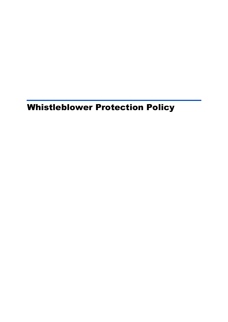# Whistleblower Protection Policy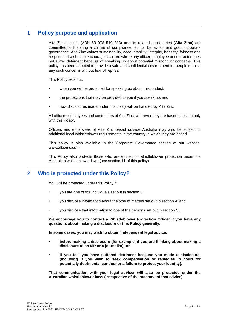# **1 Policy purpose and application**

Alta Zinc Limited (ABN 63 078 510 988) and its related subsidiaries (**Alta Zinc**) are committed to fostering a culture of compliance, ethical behaviour and good corporate governance. Alta Zinc values sustainability, accountability, integrity, honesty, fairness and respect and wishes to encourage a culture where any officer, employee or contractor does not suffer detriment because of speaking up about potential misconduct concerns. This policy has been adopted to provide a safe and confidential environment for people to raise any such concerns without fear of reprisal.

This Policy sets out:

- when you will be protected for speaking up about misconduct;
- the protections that may be provided to you if you speak up; and
- how disclosures made under this policy will be handled by Alta Zinc.

All officers, employees and contractors of Alta Zinc, wherever they are based, must comply with this Policy.

Officers and employees of Alta Zinc based outside Australia may also be subject to additional local whistleblower requirements in the country in which they are based.

This policy is also available in the Corporate Governance section of our website: www.altazinc.com.

This Policy also protects those who are entitled to whistleblower protection under the Australian whistleblower laws (see section [11](#page-7-0) of this policy).

# **2 Who is protected under this Policy?**

You will be protected under this Policy if:

- you are one of the individuals set out in section [3;](#page-2-0)
- you disclose information about the type of matters set out in section [4;](#page-2-1) and
- you disclose that information to one of the persons set out in section [5.](#page-3-0)

**We encourage you to contact a Whistleblower Protection Officer if you have any questions about making a disclosure or this Policy generally.**

**In some cases, you may wish to obtain independent legal advice:**

- **before making a disclosure (for example, if you are thinking about making a disclosure to an MP or a journalist); or**
- **if you feel you have suffered detriment because you made a disclosure, (including if you wish to seek compensation or remedies in court for potentially detrimental conduct or a failure to protect your identity).**

**That communication with your legal adviser will also be protected under the Australian whistleblower laws (irrespective of the outcome of that advice).**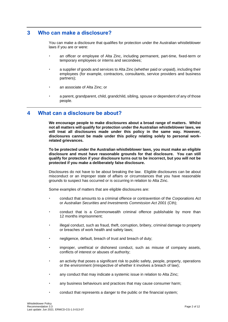# <span id="page-2-0"></span>**3 Who can make a disclosure?**

You can make a disclosure that qualifies for protection under the Australian whistleblower laws if you are or were:

- an officer or employee of Alta Zinc, including permanent, part-time, fixed-term or temporary employees or interns and secondees;
- a supplier of goods and services to Alta Zinc (whether paid or unpaid), including their employees (for example, contractors, consultants, service providers and business partners);
- an associate of Alta Zinc; or
- a parent, grandparent, child, grandchild, sibling, spouse or dependent of any of those people.

# <span id="page-2-1"></span>**4 What can a disclosure be about?**

**We encourage people to make disclosures about a broad range of matters. Whilst not all matters will qualify for protection under the Australian whistleblower laws, we will treat all disclosures made under this policy in the same way. However, disclosures cannot be made under this policy relating solely to personal workrelated grievances.**

**To be protected under the Australian whistleblower laws, you must make an eligible disclosure and must have reasonable grounds for that disclosure. You can still qualify for protection if your disclosure turns out to be incorrect, but you will not be protected if you make a deliberately false disclosure.**

Disclosures do not have to be about breaking the law. Eligible disclosures can be about misconduct or an improper state of affairs or circumstances that you have reasonable grounds to suspect has occurred or is occurring in relation to Alta Zinc.

Some examples of matters that are eligible disclosures are:

- conduct that amounts to a criminal offence or contravention of the *Corporations Act* or *Australian Securities and Investments Commission Act 2001* (Cth);
- conduct that is a Commonwealth criminal offence publishable by more than 12 months imprisonment;
- illegal conduct, such as fraud, theft, corruption, bribery, criminal damage to property or breaches of work health and safety laws;
- negligence, default, breach of trust and breach of duty;
- improper, unethical or dishonest conduct, such as misuse of company assets, conflicts of interest or abuses of authority;
- an activity that poses a significant risk to public safety, people, property, operations or the environment (irrespective of whether it involves a breach of law);
- any conduct that may indicate a systemic issue in relation to Alta Zinc;
- any business behaviours and practices that may cause consumer harm;
- conduct that represents a danger to the public or the financial system;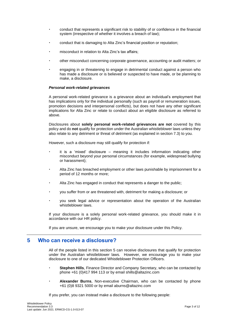- conduct that represents a significant risk to stability of or confidence in the financial system (irrespective of whether it involves a breach of law);
- conduct that is damaging to Alta Zinc's financial position or reputation;
- misconduct in relation to Alta Zinc's tax affairs;
- other misconduct concerning corporate governance, accounting or audit matters; or
- engaging in or threatening to engage in detrimental conduct against a person who has made a disclosure or is believed or suspected to have made, or be planning to make, a disclosure.

#### *Personal work-related grievances*

A personal work-related grievance is a grievance about an individual's employment that has implications only for the individual personally (such as payroll or remuneration issues, promotion decisions and interpersonal conflicts), but does not have any other significant implications for Alta Zinc or relate to conduct about an eligible disclosure as referred to above.

Disclosures about **solely personal work-related grievances are not** covered by this policy and do **not** qualify for protection under the Australian whistleblower laws unless they also relate to any detriment or threat of detriment (as explained in section 7.3) to you.

However, such a disclosure may still qualify for protection if:

- it is a 'mixed' disclosure meaning it includes information indicating other misconduct beyond your personal circumstances (for example, widespread bullying or harassment);
- Alta Zinc has breached employment or other laws punishable by imprisonment for a period of 12 months or more;
- Alta Zinc has engaged in conduct that represents a danger to the public;
- you suffer from or are threatened with, detriment for making a disclosure; or
- you seek legal advice or representation about the operation of the Australian whistleblower laws.

If your disclosure is a solely personal work-related grievance, you should make it in accordance with our HR policy.

If you are unsure, we encourage you to make your disclosure under this Policy.

### <span id="page-3-0"></span>**5 Who can receive a disclosure?**

All of the people listed in this section 5 can receive disclosures that qualify for protection under the Australian whistleblower laws. However, we encourage you to make your disclosure to one of our dedicated Whistleblower Protection Officers.

- **Stephen Hills**, Finance Director and Company Secretary, who can be contacted by phone +61 (0)417 994 113 or by email shills@altazinc.com
- **Alexander Burns**, Non-executive Chairman, who can be contacted by phone +61 (0)8 9321 5000 or by email aburns@altazinc.com

If you prefer, you can instead make a disclosure to the following people: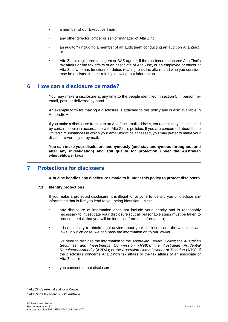- a member of our Executive Team;
- any other director, officer or senior manager of Alta Zinc;
- an auditor<sup>1</sup> (including a member of an audit team conducting an audit on Alta Zinc); or
- $\cdot$  Alta Zinc's registered tax agent or BAS agent<sup>2</sup>, if the disclosure concerns Alta Zinc's tax affairs or the tax affairs of an associate of Alta Zinc, or an employee or officer at Alta Zinc who has functions or duties relating to its tax affairs and who you consider may be assisted in their role by knowing that information.

# **6 How can a disclosure be made?**

You may make a disclosure at any time to the people identified in section 5 in person, by email, post, or delivered by hand.

An example form for making a disclosure is attached to this policy and is also available in Appendix A.

If you make a disclosure from or to an Alta Zinc email address, your email may be accessed by certain people in accordance with Alta Zinc's policies. If you are concerned about those limited circumstances in which your email might be accessed, you may prefer to make your disclosure verbally or by mail.

**You can make your disclosure anonymously (and stay anonymous throughout and after any investigation) and still qualify for protection under the Australian whistleblower laws.**

# **7 Protections for disclosers**

**Alta Zinc handles any disclosures made to it under this policy to protect disclosers.**

#### <span id="page-4-0"></span>**7.1 Identity protections**

If you make a protected disclosure, it is illegal for anyone to identify you or disclose any information that is likely to lead to you being identified, unless:

- any disclosure of information does not include your identity and is reasonably necessary to investigate your disclosure (but all reasonable steps must be taken to reduce the risk that you will be identified from the information);
- it is necessary to obtain legal advice about your disclosure and the whistleblower laws, in which case, we can pass the information on to our lawyer;
- we need to disclose the information to the *Australian Federal Police*; the *Australian Securities and Investments Commission* (**ASIC**); the *Australian Prudential Regulatory Authority* (**APRA**); or the *Australian Commissioner of Taxation* (**ATO**), if the disclosure concerns Alta Zinc's tax affairs or the tax affairs of an associate of Alta Zinc; or
- you consent to that disclosure.

<sup>&</sup>lt;sup>1</sup> Alta Zinc's external auditor is Crowe.

<sup>2</sup> Alta Zinc's tax agent is BDO Australia.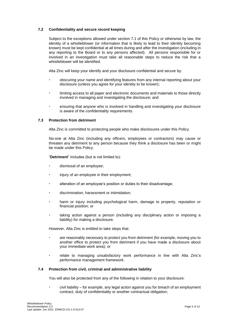#### <span id="page-5-0"></span>**7.2 Confidentiality and secure record keeping**

Subject to the exceptions allowed under section 7.1 of this Policy or otherwise by law, the identity of a whistleblower (or information that is likely to lead to their identity becoming known) must be kept confidential at all times during and after the investigation (including in any reporting to the Board or to any persons affected). All persons responsible for or involved in an investigation must take all reasonable steps to reduce the risk that a whistleblower will be identified.

Alta Zinc will keep your identify and your disclosure confidential and secure by:

- obscuring your name and identifying features from any internal reporting about your disclosure (unless you agree for your identity to be known);
- limiting access to all paper and electronic documents and materials to those directly involved in managing and investigating the disclosure; and
- ensuring that anyone who is involved in handling and investigating your disclosure is aware of the confidentiality requirements.

#### **7.3 Protection from detriment**

Alta Zinc is committed to protecting people who make disclosures under this Policy.

No-one at Alta Zinc (including any officers, employees or contractors) may cause or threaten any detriment to any person because they think a disclosure has been or might be made under this Policy.

"**Detriment**" includes (but is not limited to):

- dismissal of an employee;
- injury of an employee in their employment;
- alteration of an employee's position or duties to their disadvantage;
- discrimination, harassment or intimidation;
- harm or injury including psychological harm, damage to property, reputation or financial position; or
- taking action against a person (including any disciplinary action or imposing a liability) for making a disclosure.

However, Alta Zinc is entitled to take steps that:

- are reasonably necessary to protect you from detriment (for example, moving you to another office to protect you from detriment if you have made a disclosure about your immediate work area); or
- relate to managing unsatisfactory work performance in line with Alta Zinc's performance management framework.

#### **7.4 Protection from civil, criminal and administrative liability**

You will also be protected from any of the following in relation to your disclosure:

 civil liability – for example, any legal action against you for breach of an employment contract, duty of confidentiality or another contractual obligation;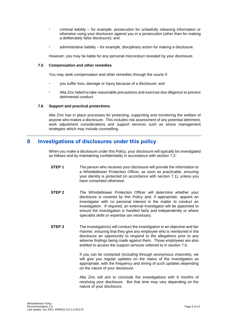- criminal liability for example, prosecution for unlawfully releasing information or otherwise using your disclosure against you in a prosecution (other than for making a deliberately false disclosure); and
- administrative liability for example, disciplinary action for making a disclosure.

However, you may be liable for any personal misconduct revealed by your disclosure.

#### **7.5 Compensation and other remedies**

You may seek compensation and other remedies through the courts if:

- you suffer loss, damage or injury because of a disclosure; and
- Alta Zinc failed to take reasonable precautions and exercise due diligence to prevent detrimental conduct.

#### <span id="page-6-0"></span>**7.6 Support and practical protections**

Alta Zinc has in place processes for protecting, supporting and monitoring the welfare of anyone who makes a disclosure. This includes risk assessment of any potential detriment, work adjustment considerations and support services such as stress management strategies which may include counselling.

# **8 Investigations of disclosures under this policy**

When you make a disclosure under this Policy, your disclosure will typically be investigated as follows and by maintaining confidentiality in accordance with section [7.2:](#page-5-0)

- **STEP 1** The person who receives your disclosure will provide the information to a Whistleblower Protection Officer, as soon as practicable, ensuring your identity is protected (in accordance with section [7.1\)](#page-4-0), unless you have consented otherwise.
- **STEP 2** The Whistleblower Protection Officer will determine whether your disclosure is covered by this Policy and, if appropriate, appoint an investigator with no personal interest in the matter to conduct an investigation. If required, an external investigator will be appointed to ensure the investigation is handled fairly and independently or where specialist skills or expertise are necessary.
- **STEP 3** The investigator(s) will conduct the investigation in an objective and fair manner, ensuring that they give any employee who is mentioned in the disclosure an opportunity to respond to the allegations prior to any adverse findings being made against them. Those employees are also entitled to access the support services referred to in section [7.6.](#page-6-0)

If you can be contacted (including through anonymous channels), we will give you regular updates on the status of the investigation as appropriate, with the frequency and timing of such updates depending on the nature of your disclosure.

Alta Zinc will aim to conclude the investigations with 6 months of receiving your disclosure. But that time may vary depending on the nature of your disclosure.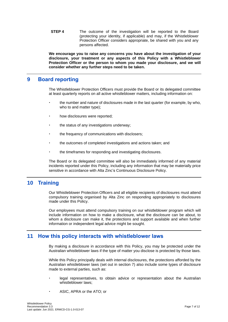**STEP 4** The outcome of the investigation will be reported to the Board (protecting your identity, if applicable) and may, if the Whistleblower Protection Officer considers appropriate, be shared with you and any persons affected.

**We encourage you to raise any concerns you have about the investigation of your disclosure, your treatment or any aspects of this Policy with a Whistleblower Protection Officer or the person to whom you made your disclosure, and we will consider whether any further steps need to be taken.**

# **9 Board reporting**

The Whistleblower Protection Officers must provide the Board or its delegated committee at least quarterly reports on all active whistleblower matters, including information on:

- the number and nature of disclosures made in the last quarter (for example, by who, who to and matter type);
- how disclosures were reported;
- the status of any investigations underway;
- the frequency of communications with disclosers;
- the outcomes of completed investigations and actions taken; and
- the timeframes for responding and investigating disclosures.

The Board or its delegated committee will also be immediately informed of any material incidents reported under this Policy, including any information that may be materially price sensitive in accordance with Alta Zinc's Continuous Disclosure Policy.

# **10 Training**

Our Whistleblower Protection Officers and all eligible recipients of disclosures must attend compulsory training organised by Alta Zinc on responding appropriately to disclosures made under this Policy.

Our employees must attend compulsory training on our whistleblower program which will include information on how to make a disclosure, what the disclosure can be about, to whom a disclosure can make it, the protections and support available and when further information or independent legal advice might be sought.

# <span id="page-7-0"></span>**11 How this policy interacts with whistleblower laws**

By making a disclosure in accordance with this Policy, you may be protected under the Australian whistleblower laws if the type of matter you disclose is protected by those laws.

While this Policy principally deals with internal disclosures, the protections afforded by the Australian whistleblower laws (set out in section 7) also include some types of disclosure made to external parties, such as:

- legal representatives, to obtain advice or representation about the Australian whistleblower laws;
- ASIC, APRA or the ATO; or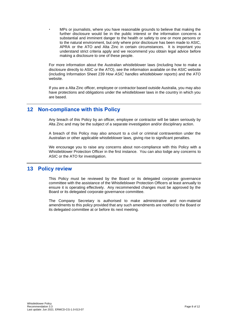MPs or journalists, where you have reasonable grounds to believe that making the further disclosure would be in the public interest or the information concerns a substantial and imminent danger to the health or safety to one or more persons or to the natural environment, but only where prior disclosure has been made to ASIC, APRA or the ATO and Alta Zinc in certain circumstances. It is important you understand strict criteria apply and we recommend you obtain legal advice before making a disclosure to one of these people.

For more information about the Australian whistleblower laws (including how to make a disclosure directly to ASIC or the ATO), see the information available on the ASIC website (including Information Sheet 239 *How ASIC handles whistleblower reports*) and the ATO website.

If you are a Alta Zinc officer, employee or contractor based outside Australia, you may also have protections and obligations under the whistleblower laws in the country in which you are based.

# **12 Non-compliance with this Policy**

Any breach of this Policy by an officer, employee or contractor will be taken seriously by Alta Zinc and may be the subject of a separate investigation and/or disciplinary action.

A breach of this Policy may also amount to a civil or criminal contravention under the Australian or other applicable whistleblower laws, giving rise to significant penalties.

We encourage you to raise any concerns about non-compliance with this Policy with a Whistleblower Protection Officer in the first instance. You can also lodge any concerns to ASIC or the ATO for investigation.

# **13 Policy review**

This Policy must be reviewed by the Board or its delegated corporate governance committee with the assistance of the Whistleblower Protection Officers at least annually to ensure it is operating effectively. Any recommended changes must be approved by the Board or its delegated corporate governance committee.

The Company Secretary is authorised to make administrative and non-material amendments to this policy provided that any such amendments are notified to the Board or its delegated committee at or before its next meeting.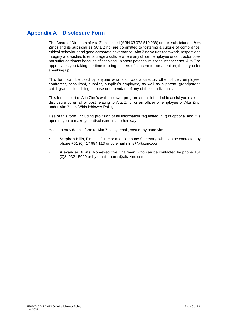# **Appendix A – Disclosure Form**

The Board of Directors of Alta Zinc Limited (ABN 63 078 510 988) and its subsidiaries (**Alta Zinc**) and its subsidiaries (Alta Zinc) are committed to fostering a culture of compliance, ethical behaviour and good corporate governance. Alta Zinc values teamwork, respect and integrity and wishes to encourage a culture where any officer, employee or contractor does not suffer detriment because of speaking up about potential misconduct concerns. Alta Zinc appreciates you taking the time to bring matters of concern to our attention; thank you for speaking up.

This form can be used by anyone who is or was a director, other officer, employee, contractor, consultant, supplier, supplier's employee, as well as a parent, grandparent, child, grandchild, sibling, spouse or dependant of any of these individuals.

This form is part of Alta Zinc's whistleblower program and is intended to assist you make a disclosure by email or post relating to Alta Zinc, or an officer or employee of Alta Zinc, under Alta Zinc's Whistleblower Policy.

Use of this form (including provision of all information requested in it) is optional and it is open to you to make your disclosure in another way.

You can provide this form to Alta Zinc by email, post or by hand via:

- **Stephen Hills**, Finance Director and Company Secretary, who can be contacted by phone +61 (0)417 994 113 or by email shills@altazinc.com
- **Alexander Burns**, Non-executive Chairman, who can be contacted by phone +61 (0)8 9321 5000 or by email aburns@altazinc.com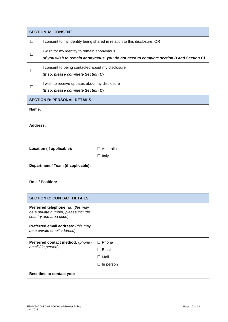| <b>SECTION A: CONSENT</b>                                                                          |                                                                                                                                      |                                                               |  |  |
|----------------------------------------------------------------------------------------------------|--------------------------------------------------------------------------------------------------------------------------------------|---------------------------------------------------------------|--|--|
| $\Box$                                                                                             | I consent to my identity being shared in relation to this disclosure; OR                                                             |                                                               |  |  |
| $\mathsf{L}$                                                                                       | I wish for my identity to remain anonymous<br>(If you wish to remain anonymous, you do not need to complete section B and Section C) |                                                               |  |  |
| $\Box$                                                                                             | I consent to being contacted about my disclosure<br>(If so, please complete Section C)                                               |                                                               |  |  |
| $\Box$                                                                                             | I wish to receive updates about my disclosure<br>(If so, please complete Section C)                                                  |                                                               |  |  |
| <b>SECTION B: PERSONAL DETAILS</b>                                                                 |                                                                                                                                      |                                                               |  |  |
| Name:                                                                                              |                                                                                                                                      |                                                               |  |  |
| <b>Address:</b>                                                                                    |                                                                                                                                      |                                                               |  |  |
| Location (if applicable):                                                                          |                                                                                                                                      | $\Box$ Australia<br>$\Box$ Italy                              |  |  |
| Department / Team (if applicable):                                                                 |                                                                                                                                      |                                                               |  |  |
| <b>Role / Position:</b>                                                                            |                                                                                                                                      |                                                               |  |  |
| <b>SECTION C: CONTACT DETAILS</b>                                                                  |                                                                                                                                      |                                                               |  |  |
| Preferred telephone no: (this may<br>be a private number; please include<br>country and area code) |                                                                                                                                      |                                                               |  |  |
| Preferred email address: (this may<br>be a private email address)                                  |                                                                                                                                      |                                                               |  |  |
| Preferred contact method: (phone /<br>email / in person)                                           |                                                                                                                                      | Phone<br>ш<br>$\Box$ Email<br>$\Box$ Mail<br>$\Box$ In person |  |  |
| Best time to contact you:                                                                          |                                                                                                                                      |                                                               |  |  |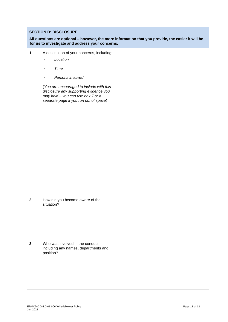#### **SECTION D: DISCLOSURE**

#### **All questions are optional – however, the more information that you provide, the easier it will be for us to investigate and address your concerns.**

| 1            | A description of your concerns, including:<br>Location<br>$\bullet$<br>Time<br>$\bullet$<br>Persons involved<br>(You are encouraged to include with this<br>disclosure any supporting evidence you<br>may hold - you can use box 7 or a<br>separate page if you run out of space) |  |
|--------------|-----------------------------------------------------------------------------------------------------------------------------------------------------------------------------------------------------------------------------------------------------------------------------------|--|
|              |                                                                                                                                                                                                                                                                                   |  |
| $\mathbf{2}$ | How did you become aware of the<br>situation?                                                                                                                                                                                                                                     |  |
| $\mathbf{3}$ | Who was involved in the conduct,<br>including any names, departments and<br>position?                                                                                                                                                                                             |  |